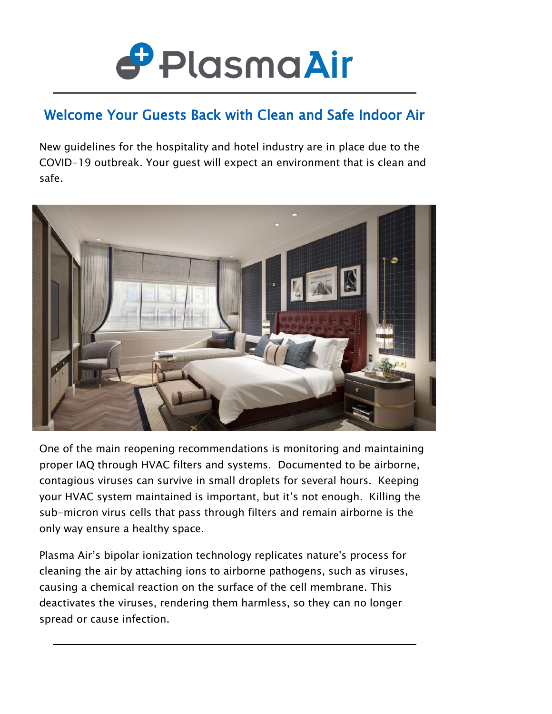

## Welcome Your Guests Back with Clean and Safe Indoor Air

New guidelines for the hospitality and hotel industry are in place due to the COVID-19 outbreak. Your guest will expect an environment that is clean and safe.



One of the main reopening recommendations is monitoring and maintaining proper IAQ through HVAC filters and systems. Documented to be airborne, contagious viruses can survive in small droplets for several hours. Keeping your HVAC system maintained is important, but it's not enough. Killing the sub-micron virus cells that pass through filters and remain airborne is the only way ensure a healthy space.

Plasma Air's bipolar ionization technology replicates nature's process for cleaning the air by attaching ions to airborne pathogens, such as viruses, causing a chemical reaction on the surface of the cell membrane. This deactivates the viruses, rendering them harmless, so they can no longer spread or cause infection.